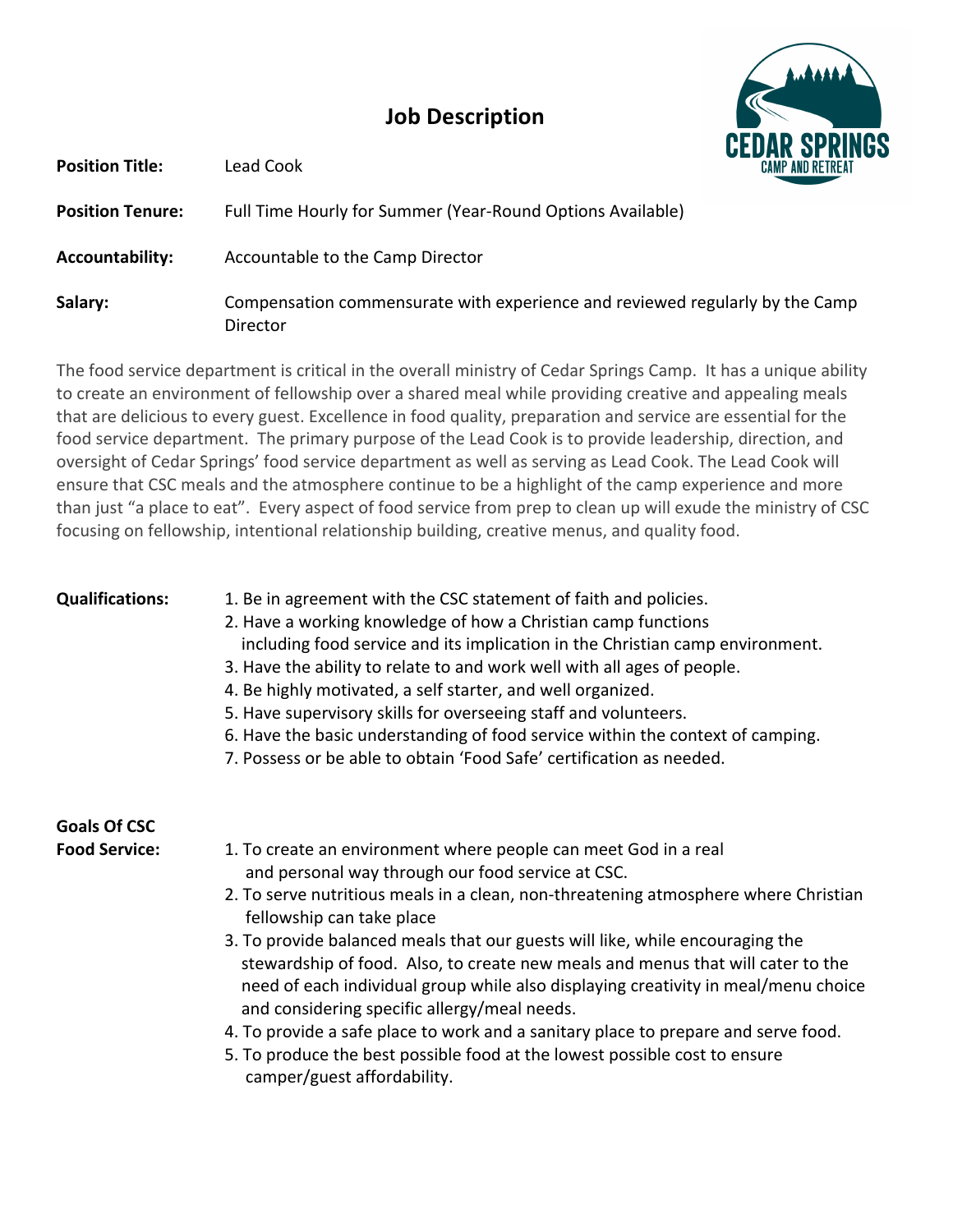## **Job Description**



**Position Tenure:** Full Time Hourly for Summer (Year-Round Options Available) **Accountability:** Accountable to the Camp Director **Salary:** Compensation commensurate with experience and reviewed regularly by the Camp Director 

The food service department is critical in the overall ministry of Cedar Springs Camp. It has a unique ability to create an environment of fellowship over a shared meal while providing creative and appealing meals that are delicious to every guest. Excellence in food quality, preparation and service are essential for the food service department. The primary purpose of the Lead Cook is to provide leadership, direction, and oversight of Cedar Springs' food service department as well as serving as Lead Cook. The Lead Cook will ensure that CSC meals and the atmosphere continue to be a highlight of the camp experience and more than just "a place to eat". Every aspect of food service from prep to clean up will exude the ministry of CSC focusing on fellowship, intentional relationship building, creative menus, and quality food.

**Position Title:** Lead Cook

- **Qualifications:** 1. Be in agreement with the CSC statement of faith and policies.
	- 2. Have a working knowledge of how a Christian camp functions
	- including food service and its implication in the Christian camp environment.
	- 3. Have the ability to relate to and work well with all ages of people.
	- 4. Be highly motivated, a self starter, and well organized.
	- 5. Have supervisory skills for overseeing staff and volunteers.
	- 6. Have the basic understanding of food service within the context of camping.
	- 7. Possess or be able to obtain 'Food Safe' certification as needed.

## **Goals Of CSC**

- **Food Service:** 1. To create an environment where people can meet God in a real and personal way through our food service at CSC.
	- 2. To serve nutritious meals in a clean, non-threatening atmosphere where Christian fellowship can take place
	- 3. To provide balanced meals that our guests will like, while encouraging the stewardship of food. Also, to create new meals and menus that will cater to the need of each individual group while also displaying creativity in meal/menu choice and considering specific allergy/meal needs.
	- 4. To provide a safe place to work and a sanitary place to prepare and serve food.
	- 5. To produce the best possible food at the lowest possible cost to ensure camper/guest affordability.